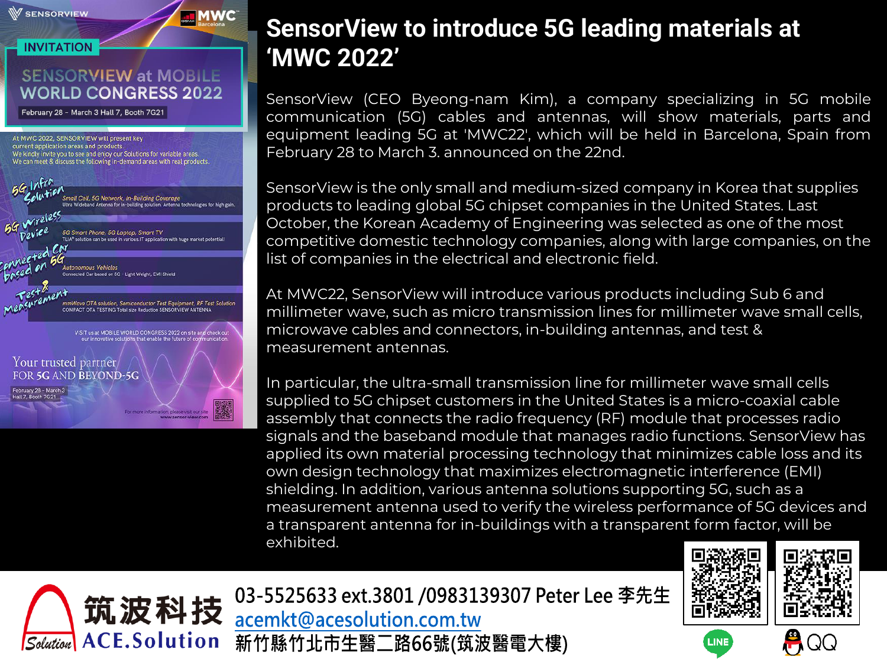

## **SensorView to introduce 5G leading materials at 'MWC 2022'**

SensorView (CEO Byeong-nam Kim), a company specializing in 5G mobile communication (5G) cables and antennas, will show materials, parts and equipment leading 5G at 'MWC22', which will be held in Barcelona, Spain from February 28 to March 3. announced on the 22nd.

SensorView is the only small and medium-sized company in Korea that supplies products to leading global 5G chipset companies in the United States. Last October, the Korean Academy of Engineering was selected as one of the most competitive domestic technology companies, along with large companies, on the list of companies in the electrical and electronic field.

At MWC22, SensorView will introduce various products including Sub 6 and millimeter wave, such as micro transmission lines for millimeter wave small cells, microwave cables and connectors, in-building antennas, and test & measurement antennas.

In particular, the ultra-small transmission line for millimeter wave small cells supplied to 5G chipset customers in the United States is a micro-coaxial cable assembly that connects the radio frequency (RF) module that processes radio signals and the baseband module that manages radio functions. SensorView has applied its own material processing technology that minimizes cable loss and its own design technology that maximizes electromagnetic interference (EMI) shielding. In addition, various antenna solutions supporting 5G, such as a measurement antenna used to verify the wireless performance of 5G devices and a transparent antenna for in-buildings with a transparent form factor, will be exhibited.





LINE



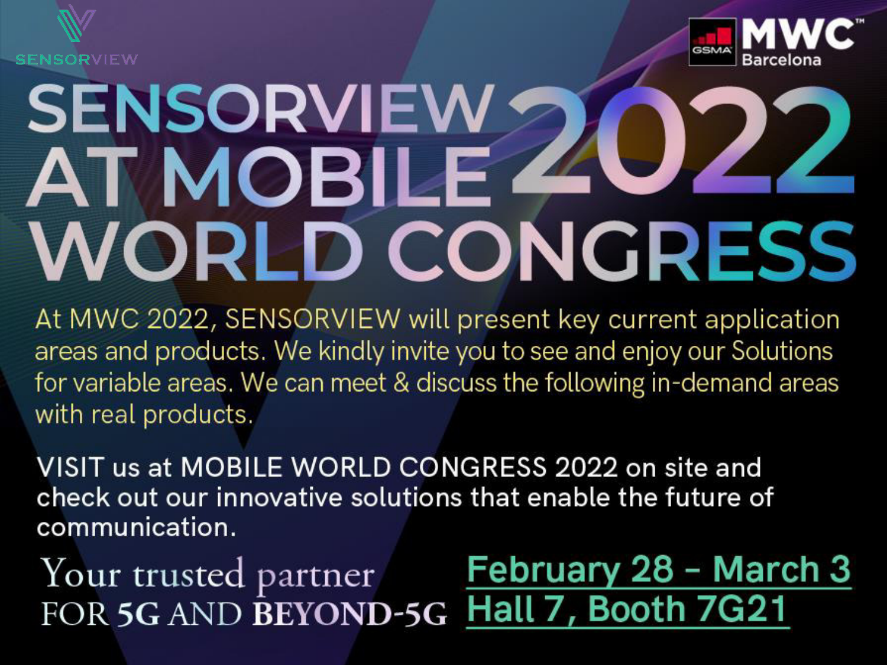



## **SENSORVIEW ATMOBILE WORLD CONGRESS**

At MWC 2022, SENSORVIEW will present key current application areas and products. We kindly invite you to see and enjoy our Solutions for variable areas. We can meet & discuss the following in-demand areas with real products.

VISIT us at MOBILE WORLD CONGRESS 2022 on site and check out our innovative solutions that enable the future of communication.

February 28 - March 3 Your trusted partner Hall 7, Booth 7G21 FOR 5G AND BEYOND-5G